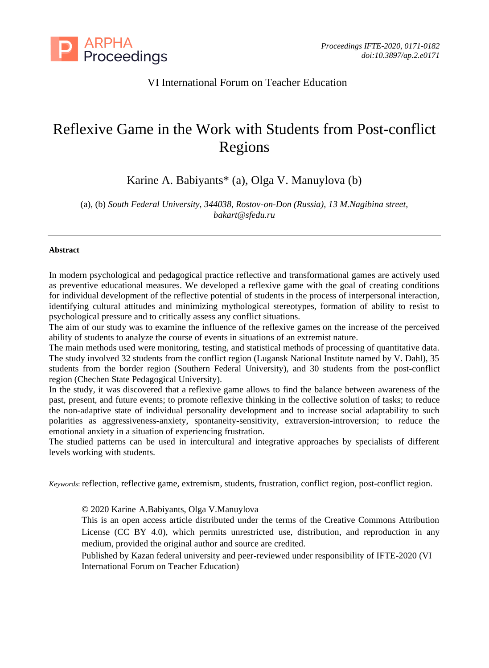

# VI International Forum on Teacher Education

# Reflexive Game in the Work with Students from Post-conflict Regions

Karine A. Babiyants\* (a), Olga V. Manuylova (b)

(a), (b) *South Federal University, 344038, Rostov-on-Don (Russia), 13 M.Nagibina street, bakart@sfedu.ru*

## **Abstract**

In modern psychological and pedagogical practice reflective and transformational games are actively used as preventive educational measures. We developed a reflexive game with the goal of creating conditions for individual development of the reflective potential of students in the process of interpersonal interaction, identifying cultural attitudes and minimizing mythological stereotypes, formation of ability to resist to psychological pressure and to critically assess any conflict situations.

The aim of our study was to examine the influence of the reflexive games on the increase of the perceived ability of students to analyze the course of events in situations of an extremist nature.

The main methods used were monitoring, testing, and statistical methods of processing of quantitative data. The study involved 32 students from the conflict region (Lugansk National Institute named by V. Dahl), 35 students from the border region (Southern Federal University), and 30 students from the post-conflict region (Chechen State Pedagogical University).

In the study, it was discovered that a reflexive game allows to find the balance between awareness of the past, present, and future events; to promote reflexive thinking in the collective solution of tasks; to reduce the non-adaptive state of individual personality development and to increase social adaptability to such polarities as aggressiveness-anxiety, spontaneity-sensitivity, extraversion-introversion; to reduce the emotional anxiety in a situation of experiencing frustration.

The studied patterns can be used in intercultural and integrative approaches by specialists of different levels working with students.

*Keywords*: reflection, reflective game, extremism, students, frustration, conflict region, post-conflict region.

© 2020 Karine A.Babiyants, Olga V.Manuylova

This is an open access article distributed under the terms of the Creative Commons Attribution License (CC BY 4.0), which permits unrestricted use, distribution, and reproduction in any medium, provided the original author and source are credited.

Published by Kazan federal university and peer-reviewed under responsibility of IFTE-2020 (VI International Forum on Teacher Education)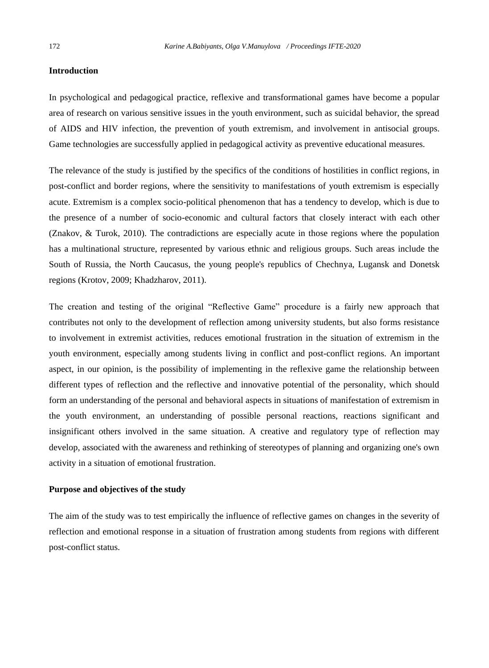#### **Introduction**

In psychological and pedagogical practice, reflexive and transformational games have become a popular area of research on various sensitive issues in the youth environment, such as suicidal behavior, the spread of AIDS and HIV infection, the prevention of youth extremism, and involvement in antisocial groups. Game technologies are successfully applied in pedagogical activity as preventive educational measures.

The relevance of the study is justified by the specifics of the conditions of hostilities in conflict regions, in post-conflict and border regions, where the sensitivity to manifestations of youth extremism is especially acute. Extremism is a complex socio-political phenomenon that has a tendency to develop, which is due to the presence of a number of socio-economic and cultural factors that closely interact with each other (Znakov, & Turok, 2010). The contradictions are especially acute in those regions where the population has a multinational structure, represented by various ethnic and religious groups. Such areas include the South of Russia, the North Caucasus, the young people's republics of Chechnya, Lugansk and Donetsk regions (Krotov, 2009; Khadzharov, 2011).

The creation and testing of the original "Reflective Game" procedure is a fairly new approach that contributes not only to the development of reflection among university students, but also forms resistance to involvement in extremist activities, reduces emotional frustration in the situation of extremism in the youth environment, especially among students living in conflict and post-conflict regions. An important aspect, in our opinion, is the possibility of implementing in the reflexive game the relationship between different types of reflection and the reflective and innovative potential of the personality, which should form an understanding of the personal and behavioral aspects in situations of manifestation of extremism in the youth environment, an understanding of possible personal reactions, reactions significant and insignificant others involved in the same situation. A creative and regulatory type of reflection may develop, associated with the awareness and rethinking of stereotypes of planning and organizing one's own activity in a situation of emotional frustration.

### **Purpose and objectives of the study**

The aim of the study was to test empirically the influence of reflective games on changes in the severity of reflection and emotional response in a situation of frustration among students from regions with different post-conflict status.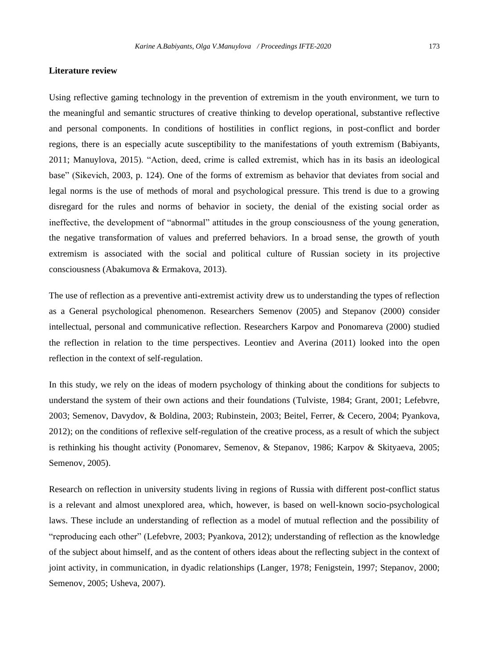#### **Literature review**

Using reflective gaming technology in the prevention of extremism in the youth environment, we turn to the meaningful and semantic structures of creative thinking to develop operational, substantive reflective and personal components. In conditions of hostilities in conflict regions, in post-conflict and border regions, there is an especially acute susceptibility to the manifestations of youth extremism (Вabiyants, 2011; Manuylova, 2015). "Action, deed, crime is called extremist, which has in its basis an ideological base" (Sikevich, 2003, p. 124). One of the forms of extremism as behavior that deviates from social and legal norms is the use of methods of moral and psychological pressure. This trend is due to a growing disregard for the rules and norms of behavior in society, the denial of the existing social order as ineffective, the development of "abnormal" attitudes in the group consciousness of the young generation, the negative transformation of values and preferred behaviors. In a broad sense, the growth of youth extremism is associated with the social and political culture of Russian society in its projective consciousness (Abakumova & Ermakova, 2013).

The use of reflection as a preventive anti-extremist activity drew us to understanding the types of reflection as a General psychological phenomenon. Researchers Semenov (2005) and Stepanov (2000) consider intellectual, personal and communicative reflection. Researchers Karpov and Ponomareva (2000) studied the reflection in relation to the time perspectives. Leontiev and Averina (2011) looked into the open reflection in the context of self-regulation.

In this study, we rely on the ideas of modern psychology of thinking about the conditions for subjects to understand the system of their own actions and their foundations (Tulviste, 1984; Grant, 2001; Lefebvre, 2003; Semenov, Davydov, & Boldina, 2003; Rubinstein, 2003; Beitel, Ferrer, & Cecero, 2004; Pyankova, 2012); on the conditions of reflexive self-regulation of the creative process, as a result of which the subject is rethinking his thought activity (Ponomarev, Semenov, & Stepanov, 1986; Karpov & Skityaeva, 2005; Semenov, 2005).

Research on reflection in university students living in regions of Russia with different post-conflict status is a relevant and almost unexplored area, which, however, is based on well-known socio-psychological laws. These include an understanding of reflection as a model of mutual reflection and the possibility of "reproducing each other" (Lefebvre, 2003; Pyankova, 2012); understanding of reflection as the knowledge of the subject about himself, and as the content of others ideas about the reflecting subject in the context of joint activity, in communication, in dyadic relationships (Langer, 1978; Fenigstein, 1997; Stepanov, 2000; Semenov, 2005; Usheva, 2007).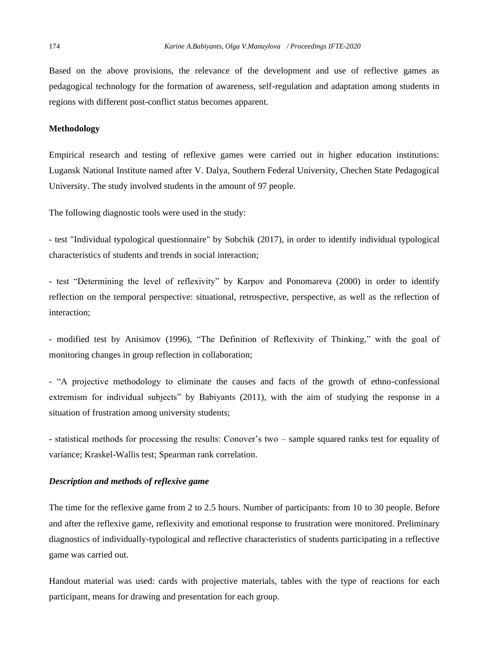Based on the above provisions, the relevance of the development and use of reflective games as pedagogical technology for the formation of awareness, self-regulation and adaptation among students in regions with different post-conflict status becomes apparent.

#### **Methodology**

Empirical research and testing of reflexive games were carried out in higher education institutions: Lugansk National Institute named after V. Dalya, Southern Federal University, Chechen State Pedagogical University. The study involved students in the amount of 97 people.

The following diagnostic tools were used in the study:

- test "Individual typological questionnaire" by Sobchik (2017), in order to identify individual typological characteristics of students and trends in social interaction;

- test "Determining the level of reflexivity" by Karpov and Ponomareva (2000) in order to identify reflection on the temporal perspective: situational, retrospective, perspective, as well as the reflection of interaction;

- modified test by Anisimov (1996), "The Definition of Reflexivity of Thinking," with the goal of monitoring changes in group reflection in collaboration;

- "A projective methodology to eliminate the causes and facts of the growth of ethno-confessional extremism for individual subjects" by Вabiyants (2011), with the aim of studying the response in a situation of frustration among university students;

- statistical methods for processing the results: Conover's two – sample squared ranks test for equality of variance; Kraskel-Wallis test; Spearman rank correlation.

### *Description and methods of reflexive game*

The time for the reflexive game from 2 to 2.5 hours. Number of participants: from 10 to 30 people. Before and after the reflexive game, reflexivity and emotional response to frustration were monitored. Preliminary diagnostics of individually-typological and reflective characteristics of students participating in a reflective game was carried out.

Handout material was used: cards with projective materials, tables with the type of reactions for each participant, means for drawing and presentation for each group.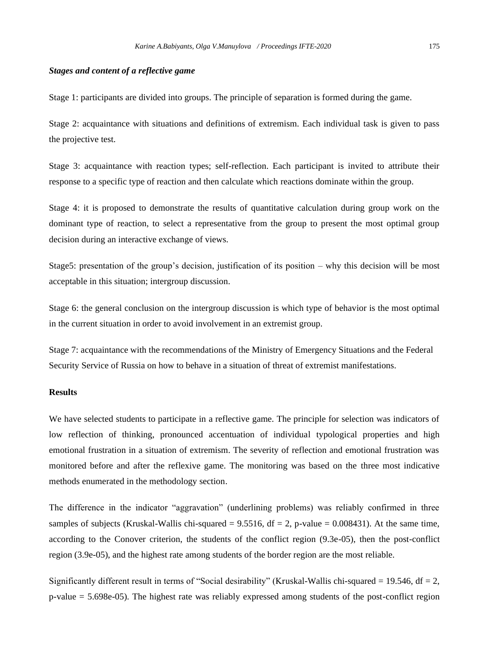#### *Stages and content of a reflective game*

Stage 1: participants are divided into groups. The principle of separation is formed during the game.

Stage 2: acquaintance with situations and definitions of extremism. Each individual task is given to pass the projective test.

Stage 3: acquaintance with reaction types; self-reflection. Each participant is invited to attribute their response to a specific type of reaction and then calculate which reactions dominate within the group.

Stage 4: it is proposed to demonstrate the results of quantitative calculation during group work on the dominant type of reaction, to select a representative from the group to present the most optimal group decision during an interactive exchange of views.

Stage5: presentation of the group's decision, justification of its position – why this decision will be most acceptable in this situation; intergroup discussion.

Stage 6: the general conclusion on the intergroup discussion is which type of behavior is the most optimal in the current situation in order to avoid involvement in an extremist group.

Stage 7: acquaintance with the recommendations of the Ministry of Emergency Situations and the Federal Security Service of Russia on how to behave in a situation of threat of extremist manifestations.

# **Results**

We have selected students to participate in a reflective game. The principle for selection was indicators of low reflection of thinking, pronounced accentuation of individual typological properties and high emotional frustration in a situation of extremism. The severity of reflection and emotional frustration was monitored before and after the reflexive game. The monitoring was based on the three most indicative methods enumerated in the methodology section.

The difference in the indicator "aggravation" (underlining problems) was reliably confirmed in three samples of subjects (Kruskal-Wallis chi-squared =  $9.5516$ , df = 2, p-value = 0.008431). At the same time, according to the Conover criterion, the students of the conflict region (9.3e-05), then the post-conflict region (3.9e-05), and the highest rate among students of the border region are the most reliable.

Significantly different result in terms of "Social desirability" (Kruskal-Wallis chi-squared = 19.546, df = 2, p-value = 5.698e-05). The highest rate was reliably expressed among students of the post-conflict region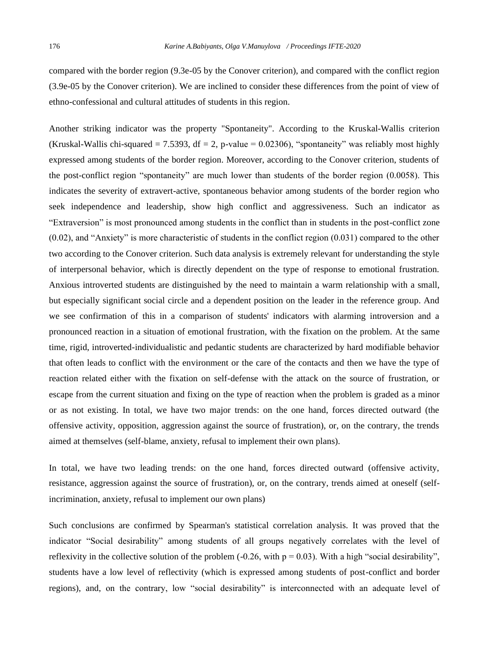compared with the border region (9.3e-05 by the Conover criterion), and compared with the conflict region (3.9e-05 by the Conover criterion). We are inclined to consider these differences from the point of view of ethno-confessional and cultural attitudes of students in this region.

Another striking indicator was the property "Spontaneity". According to the Kruskal-Wallis criterion (Kruskal-Wallis chi-squared  $= 7.5393$ , df  $= 2$ , p-value  $= 0.02306$ ), "spontaneity" was reliably most highly expressed among students of the border region. Moreover, according to the Conover criterion, students of the post-conflict region "spontaneity" are much lower than students of the border region (0.0058). This indicates the severity of extravert-active, spontaneous behavior among students of the border region who seek independence and leadership, show high conflict and aggressiveness. Such an indicator as "Extraversion" is most pronounced among students in the conflict than in students in the post-conflict zone (0.02), and "Anxiety" is more characteristic of students in the conflict region (0.031) compared to the other two according to the Conover criterion. Such data analysis is extremely relevant for understanding the style of interpersonal behavior, which is directly dependent on the type of response to emotional frustration. Anxious introverted students are distinguished by the need to maintain a warm relationship with a small, but especially significant social circle and a dependent position on the leader in the reference group. And we see confirmation of this in a comparison of students' indicators with alarming introversion and a pronounced reaction in a situation of emotional frustration, with the fixation on the problem. At the same time, rigid, introverted-individualistic and pedantic students are characterized by hard modifiable behavior that often leads to conflict with the environment or the care of the contacts and then we have the type of reaction related either with the fixation on self-defense with the attack on the source of frustration, or escape from the current situation and fixing on the type of reaction when the problem is graded as a minor or as not existing. In total, we have two major trends: on the one hand, forces directed outward (the offensive activity, opposition, aggression against the source of frustration), or, on the contrary, the trends aimed at themselves (self-blame, anxiety, refusal to implement their own plans).

In total, we have two leading trends: on the one hand, forces directed outward (offensive activity, resistance, aggression against the source of frustration), or, on the contrary, trends aimed at oneself (selfincrimination, anxiety, refusal to implement our own plans)

Such conclusions are confirmed by Spearman's statistical correlation analysis. It was proved that the indicator "Social desirability" among students of all groups negatively correlates with the level of reflexivity in the collective solution of the problem  $(-0.26$ , with  $p = 0.03$ ). With a high "social desirability", students have a low level of reflectivity (which is expressed among students of post-conflict and border regions), and, on the contrary, low "social desirability" is interconnected with an adequate level of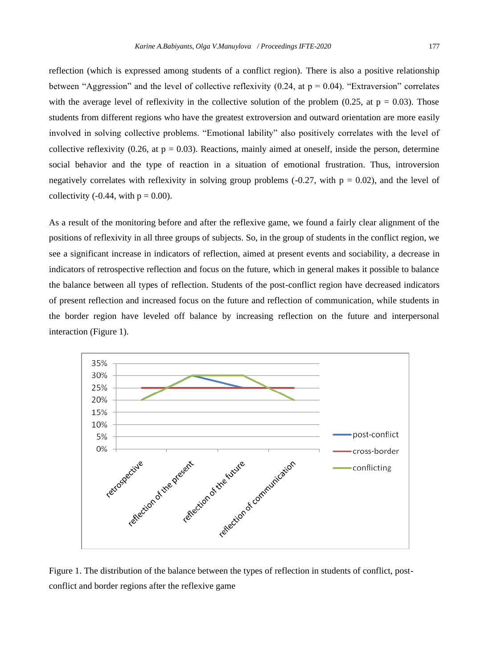reflection (which is expressed among students of a conflict region). There is also a positive relationship between "Aggression" and the level of collective reflexivity (0.24, at  $p = 0.04$ ). "Extraversion" correlates with the average level of reflexivity in the collective solution of the problem (0.25, at  $p = 0.03$ ). Those students from different regions who have the greatest extroversion and outward orientation are more easily involved in solving collective problems. "Emotional lability" also positively correlates with the level of collective reflexivity (0.26, at  $p = 0.03$ ). Reactions, mainly aimed at oneself, inside the person, determine social behavior and the type of reaction in a situation of emotional frustration. Thus, introversion negatively correlates with reflexivity in solving group problems  $(-0.27, \text{ with } p = 0.02)$ , and the level of collectivity (-0.44, with  $p = 0.00$ ).

As a result of the monitoring before and after the reflexive game, we found a fairly clear alignment of the positions of reflexivity in all three groups of subjects. So, in the group of students in the conflict region, we see a significant increase in indicators of reflection, aimed at present events and sociability, a decrease in indicators of retrospective reflection and focus on the future, which in general makes it possible to balance the balance between all types of reflection. Students of the post-conflict region have decreased indicators of present reflection and increased focus on the future and reflection of communication, while students in the border region have leveled off balance by increasing reflection on the future and interpersonal interaction (Figure 1).



Figure 1. The distribution of the balance between the types of reflection in students of conflict, postconflict and border regions after the reflexive game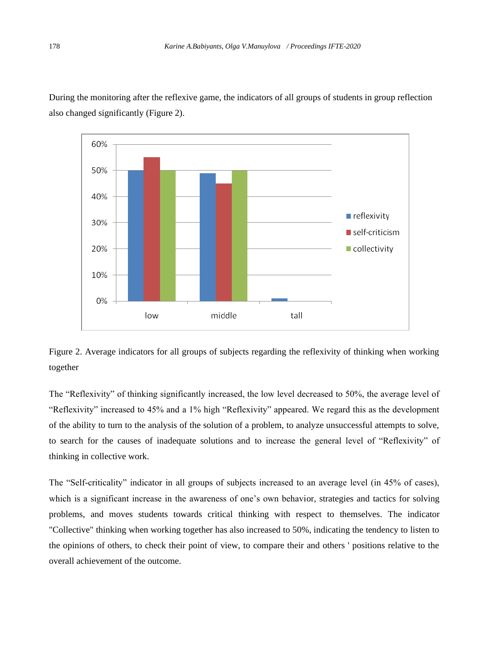

During the monitoring after the reflexive game, the indicators of all groups of students in group reflection also changed significantly (Figure 2).



The "Reflexivity" of thinking significantly increased, the low level decreased to 50%, the average level of "Reflexivity" increased to 45% and a 1% high "Reflexivity" appeared. We regard this as the development of the ability to turn to the analysis of the solution of a problem, to analyze unsuccessful attempts to solve, to search for the causes of inadequate solutions and to increase the general level of "Reflexivity" of thinking in collective work.

The "Self-criticality" indicator in all groups of subjects increased to an average level (in 45% of cases), which is a significant increase in the awareness of one's own behavior, strategies and tactics for solving problems, and moves students towards critical thinking with respect to themselves. The indicator "Collective" thinking when working together has also increased to 50%, indicating the tendency to listen to the opinions of others, to check their point of view, to compare their and others ' positions relative to the overall achievement of the outcome.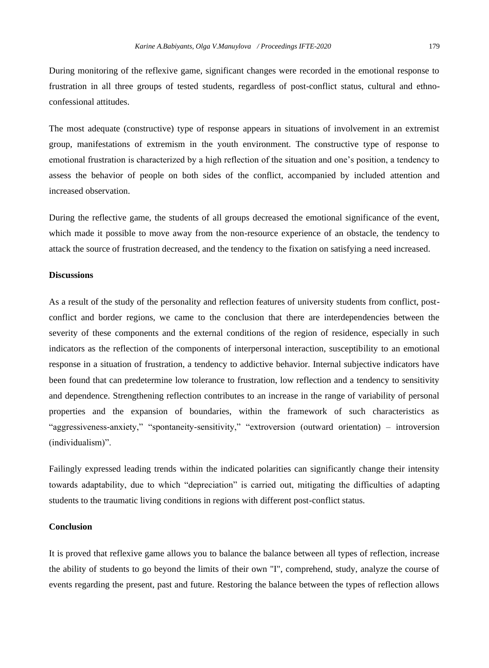During monitoring of the reflexive game, significant changes were recorded in the emotional response to frustration in all three groups of tested students, regardless of post-conflict status, cultural and ethnoconfessional attitudes.

The most adequate (constructive) type of response appears in situations of involvement in an extremist group, manifestations of extremism in the youth environment. The constructive type of response to emotional frustration is characterized by a high reflection of the situation and one's position, a tendency to assess the behavior of people on both sides of the conflict, accompanied by included attention and increased observation.

During the reflective game, the students of all groups decreased the emotional significance of the event, which made it possible to move away from the non-resource experience of an obstacle, the tendency to attack the source of frustration decreased, and the tendency to the fixation on satisfying a need increased.

# **Discussions**

As a result of the study of the personality and reflection features of university students from conflict, postconflict and border regions, we came to the conclusion that there are interdependencies between the severity of these components and the external conditions of the region of residence, especially in such indicators as the reflection of the components of interpersonal interaction, susceptibility to an emotional response in a situation of frustration, a tendency to addictive behavior. Internal subjective indicators have been found that can predetermine low tolerance to frustration, low reflection and a tendency to sensitivity and dependence. Strengthening reflection contributes to an increase in the range of variability of personal properties and the expansion of boundaries, within the framework of such characteristics as "aggressiveness-anxiety," "spontaneity-sensitivity," "extroversion (outward orientation) – introversion (individualism)".

Failingly expressed leading trends within the indicated polarities can significantly change their intensity towards adaptability, due to which "depreciation" is carried out, mitigating the difficulties of adapting students to the traumatic living conditions in regions with different post-conflict status.

#### **Conclusion**

It is proved that reflexive game allows you to balance the balance between all types of reflection, increase the ability of students to go beyond the limits of their own "I", comprehend, study, analyze the course of events regarding the present, past and future. Restoring the balance between the types of reflection allows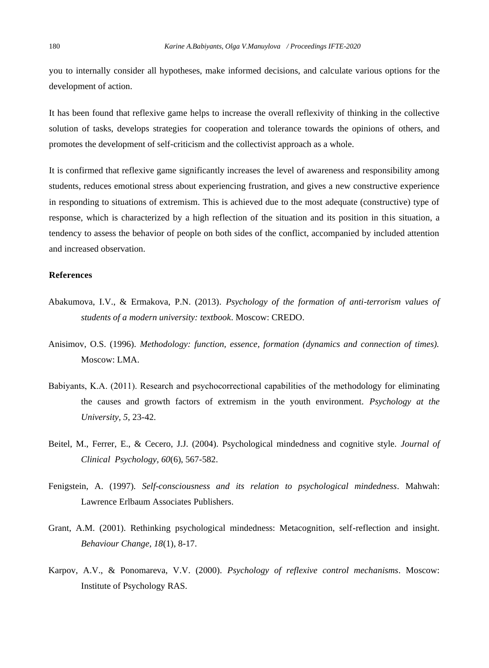you to internally consider all hypotheses, make informed decisions, and calculate various options for the development of action.

It has been found that reflexive game helps to increase the overall reflexivity of thinking in the collective solution of tasks, develops strategies for cooperation and tolerance towards the opinions of others, and promotes the development of self-criticism and the collectivist approach as a whole.

It is confirmed that reflexive game significantly increases the level of awareness and responsibility among students, reduces emotional stress about experiencing frustration, and gives a new constructive experience in responding to situations of extremism. This is achieved due to the most adequate (constructive) type of response, which is characterized by a high reflection of the situation and its position in this situation, a tendency to assess the behavior of people on both sides of the conflict, accompanied by included attention and increased observation.

## **References**

- Abakumova, I.V., & Ermakova, P.N. (2013). *Psychology of the formation of anti-terrorism values of students of a modern university: textbook*. Moscow: CREDO.
- Anisimov, O.S. (1996). *Methodology: function, essence, formation (dynamics and connection of times).* Moscow: LMA.
- Вabiyants, K.A. (2011). Research and psychocorrectional capabilities of the methodology for eliminating the causes and growth factors of extremism in the youth environment. *Psychology at the University, 5*, 23-42.
- Beitel, M., Ferrer, E., & Cecero, J.J. (2004). Psychological mindedness and cognitive style. *Journal of Clinical Psychology, 60*(6), 567-582.
- Fenigstein, A. (1997). *Self-consciousness and its relation to psychological mindedness*. Mahwah: Lawrence Erlbaum Associates Publishers.
- Grant, A.M. (2001). Rethinking psychological mindedness: Metacognition, self-reflection and insight. *Behaviour Change, 18*(1), 8-17.
- Karpov, A.V., & Ponomareva, V.V. (2000). *Psychology of reflexive control mechanisms*. Moscow: Institute of Psychology RAS.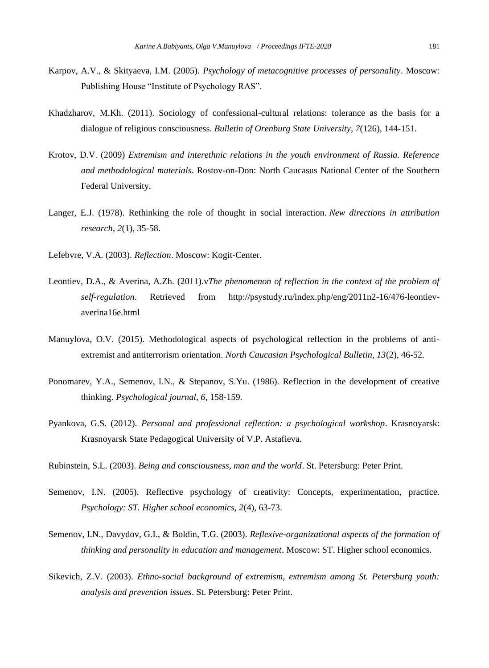- Karpov, A.V., & Skityaeva, I.M. (2005). *Psychology of metacognitive processes of personality*. Moscow: Publishing House "Institute of Psychology RAS".
- Khadzharov, M.Kh. (2011). Sociology of confessional-cultural relations: tolerance as the basis for a dialogue of religious consciousness. *Bulletin of Orenburg State University, 7*(126), 144-151.
- Krotov, D.V. (2009) *Extremism and interethnic relations in the youth environment of Russia. Reference and methodological materials*. Rostov-on-Don: North Caucasus National Center of the Southern Federal University.
- Langer, E.J. (1978). Rethinking the role of thought in social interaction. *New directions in attribution research*, *2*(1), 35-58.
- Lefebvre, V.A. (2003). *Reflection*. Moscow: Kogit-Center.
- Leontiev, D.A., & Averina, A.Zh. (2011).*vThe phenomenon of reflection in the context of the problem of self-regulation*. Retrieved from http://psystudy.ru/index.php/eng/2011n2-16/476-leontievaverina16e.html
- Manuylova, O.V. (2015). Methodological aspects of psychological reflection in the problems of antiextremist and antiterrorism orientation. *North Caucasian Psychological Bulletin, 13*(2), 46-52.
- Ponomarev, Y.A., Semenov, I.N., & Stepanov, S.Yu. (1986). Reflection in the development of creative thinking. *Psychological journal, 6*, 158-159.
- Pyankova, G.S. (2012). *Personal and professional reflection: a psychological workshop*. Krasnoyarsk: Krasnoyarsk State Pedagogical University of V.P. Astafieva.

Rubinstein, S.L. (2003). *Being and consciousness, man and the world*. St. Petersburg: Peter Print.

- Semenov, I.N. (2005). Reflective psychology of creativity: Concepts, experimentation, practice. *Psychology: ST. Higher school economics, 2*(4), 63-73.
- Semenov, I.N., Davydov, G.I., & Boldin, T.G. (2003). *Reflexive-organizational aspects of the formation of thinking and personality in education and management*. Moscow: ST. Higher school economics.
- Sikevich, Z.V. (2003). *Ethno-social background of extremism, extremism among St. Petersburg youth: analysis and prevention issues*. St. Petersburg: Peter Print.